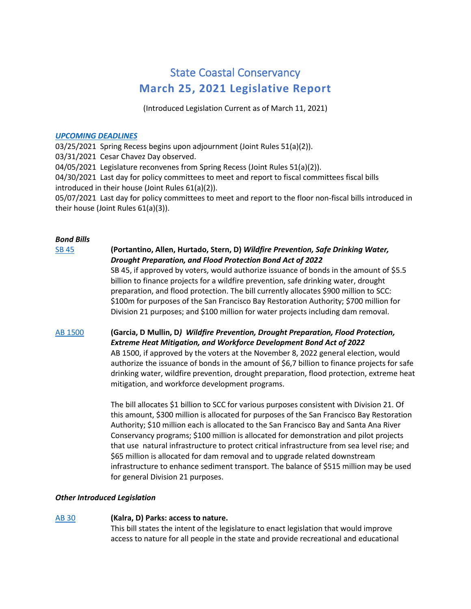# State Coastal Conservancy **March 25, 2021 Legislative Report**

(Introduced Legislation Current as of March 11, 2021)

### *[UPCOMING DEADLINES](http://ct3k1.capitoltrack.com/public/TodaysEvents.aspx?s=//sessionschedule&calid=300)*

03/25/2021 Spring Recess begins upon adjournment (Joint Rules 51(a)(2)).

03/31/2021 Cesar Chavez Day observed.

04/05/2021 Legislature reconvenes from Spring Recess (Joint Rules 51(a)(2)).

04/30/2021 Last day for policy committees to meet and report to fiscal committees fiscal bills introduced in their house (Joint Rules 61(a)(2)).

05/07/2021 Last day for policy committees to meet and report to the floor non-fiscal bills introduced in their house (Joint Rules 61(a)(3)).

# *Bond Bills*

# [SB 45](https://leginfo.legislature.ca.gov/faces/billNavClient.xhtml?bill_id=202120220SB45) **(Portantino, Allen, Hurtado, Stern, D)** *Wildfire Prevention, Safe Drinking Water, Drought Preparation, and Flood Protection Bond Act of 2022*

SB 45, if approved by voters, would authorize issuance of bonds in the amount of \$5.5 billion to finance projects for a wildfire prevention, safe drinking water, drought preparation, and flood protection. The bill currently allocates \$900 million to SCC: \$100m for purposes of the San Francisco Bay Restoration Authority; \$700 million for Division 21 purposes; and \$100 million for water projects including dam removal.

# AB [1500](https://leginfo.legislature.ca.gov/faces/billNavClient.xhtml?bill_id=202120220AB1500) **(Garcia, D Mullin, D***) Wildfire Prevention, Drought Preparation, Flood Protection, Extreme Heat Mitigation, and Workforce Development Bond Act of 2022*

AB 1500, if approved by the voters at the November 8, 2022 general election, would authorize the issuance of bonds in the amount of \$6,7 billion to finance projects for safe drinking water, wildfire prevention, drought preparation, flood protection, extreme heat mitigation, and workforce development programs.

The bill allocates \$1 billion to SCC for various purposes consistent with Division 21. Of this amount, \$300 million is allocated for purposes of the San Francisco Bay Restoration Authority; \$10 million each is allocated to the San Francisco Bay and Santa Ana River Conservancy programs; \$100 million is allocated for demonstration and pilot projects that use natural infrastructure to protect critical infrastructure from sea level rise; and \$65 million is allocated for dam removal and to upgrade related downstream infrastructure to enhance sediment transport. The balance of \$515 million may be used for general Division 21 purposes.

# *Other Introduced Legislation*

# [AB 30](https://leginfo.legislature.ca.gov/faces/billNavClient.xhtml?bill_id=202120220AB30) **(Kalra, D) Parks: access to nature.**

This bill states the intent of the legislature to enact legislation that would improve access to nature for all people in the state and provide recreational and educational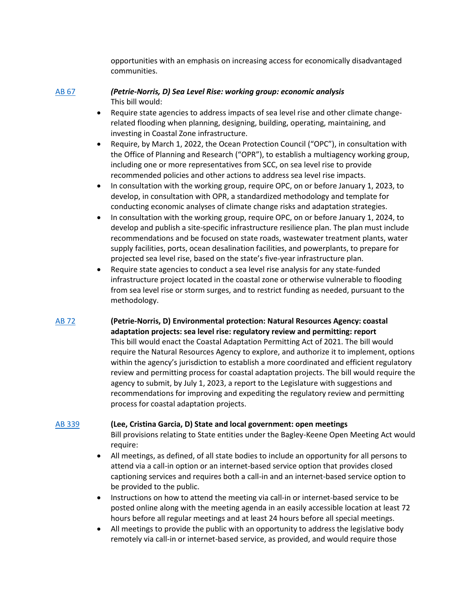opportunities with an emphasis on increasing access for economically disadvantaged communities.

#### [AB 67](https://leginfo.legislature.ca.gov/faces/billNavClient.xhtml?bill_id=202120220AB67) *(Petrie-Norris, D) Sea Level Rise: working group: economic analysis* This bill would:

- Require state agencies to address impacts of sea level rise and other climate changerelated flooding when planning, designing, building, operating, maintaining, and investing in Coastal Zone infrastructure.
- Require, by March 1, 2022, the Ocean Protection Council ("OPC"), in consultation with the Office of Planning and Research ("OPR"), to establish a multiagency working group, including one or more representatives from SCC, on sea level rise to provide recommended policies and other actions to address sea level rise impacts.
- In consultation with the working group, require OPC, on or before January 1, 2023, to develop, in consultation with OPR, a standardized methodology and template for conducting economic analyses of climate change risks and adaptation strategies.
- In consultation with the working group, require OPC, on or before January 1, 2024, to develop and publish a site-specific infrastructure resilience plan. The plan must include recommendations and be focused on state roads, wastewater treatment plants, water supply facilities, ports, ocean desalination facilities, and powerplants, to prepare for projected sea level rise, based on the state's five-year infrastructure plan.
- Require state agencies to conduct a sea level rise analysis for any state-funded infrastructure project located in the coastal zone or otherwise vulnerable to flooding from sea level rise or storm surges, and to restrict funding as needed, pursuant to the methodology.
- [AB 72](https://leginfo.legislature.ca.gov/faces/billNavClient.xhtml?bill_id=202120220AB72) **(Petrie-Norris, D) Environmental protection: Natural Resources Agency: coastal adaptation projects: sea level rise: regulatory review and permitting: report** This bill would enact the Coastal Adaptation Permitting Act of 2021. The bill would require the Natural Resources Agency to explore, and authorize it to implement, options within the agency's jurisdiction to establish a more coordinated and efficient regulatory review and permitting process for coastal adaptation projects. The bill would require the agency to submit, by July 1, 2023, a report to the Legislature with suggestions and recommendations for improving and expediting the regulatory review and permitting process for coastal adaptation projects.

### [AB 339](https://leginfo.legislature.ca.gov/faces/billNavClient.xhtml?bill_id=202120220AB339) **(Lee, Cristina Garcia, D) State and local government: open meetings**

Bill provisions relating to State entities under the Bagley-Keene Open Meeting Act would require:

- All meetings, as defined, of all state bodies to include an opportunity for all persons to attend via a call-in option or an internet-based service option that provides closed captioning services and requires both a call-in and an internet-based service option to be provided to the public.
- Instructions on how to attend the meeting via call-in or internet-based service to be posted online along with the meeting agenda in an easily accessible location at least 72 hours before all regular meetings and at least 24 hours before all special meetings.
- All meetings to provide the public with an opportunity to address the legislative body remotely via call-in or internet-based service, as provided, and would require those